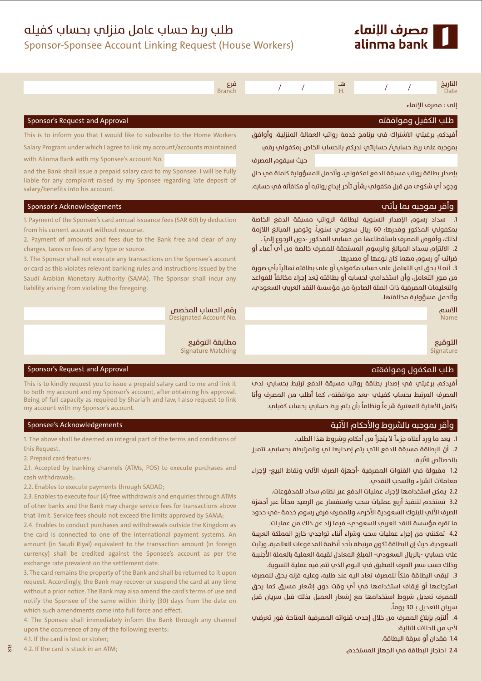

## طلب ربط حساب عامل منزلب بحساب كفيله

Sponsor-Sponsee Account Linking Request (House Workers)

| مرع<br><b>Branch</b>                                                                                                                                                                                                                                                                                                                                                                                                                                                                                                                          | التاريخ<br><u>ھ</u><br>$\prime$<br>$\prime$<br>Н.<br><b>Date</b>                                                                                                                                                                                                                                                                                                                                                                                                                                                                                                                             |  |
|-----------------------------------------------------------------------------------------------------------------------------------------------------------------------------------------------------------------------------------------------------------------------------------------------------------------------------------------------------------------------------------------------------------------------------------------------------------------------------------------------------------------------------------------------|----------------------------------------------------------------------------------------------------------------------------------------------------------------------------------------------------------------------------------------------------------------------------------------------------------------------------------------------------------------------------------------------------------------------------------------------------------------------------------------------------------------------------------------------------------------------------------------------|--|
|                                                                                                                                                                                                                                                                                                                                                                                                                                                                                                                                               | إلم : مصرف الإنماء                                                                                                                                                                                                                                                                                                                                                                                                                                                                                                                                                                           |  |
| Sponsor's Request and Approval                                                                                                                                                                                                                                                                                                                                                                                                                                                                                                                | طلب الكفيل وموافقته                                                                                                                                                                                                                                                                                                                                                                                                                                                                                                                                                                          |  |
| This is to inform you that I would like to subscribe to the Home Workers<br>Salary Program under which I agree to link my account/accounts maintained<br>with Alinma Bank with my Sponsee's account No.<br>and the Bank shall issue a prepaid salary card to my Sponsee. I will be fully                                                                                                                                                                                                                                                      | أفيدكم برغبتي الاشتراك في برنامج خدمة رواتب العمالة المنزلية، وأوافق<br>بموجبه علم ربط حسابي/ حساباتي لديكم بالحساب الخاص بمكفولي رقم:<br>حيث سيقوم المصرف<br>بإصدار بطاقة رواتب مسبقة الدفع لمكفولي، وأتحمل المسؤولية كاملة في حال                                                                                                                                                                                                                                                                                                                                                          |  |
| liable for any complaint raised by my Sponsee regarding late deposit of<br>salary/benefits into his account.                                                                                                                                                                                                                                                                                                                                                                                                                                  | وجود أبٍ شكومٍ من قبل مكفولبٍ بشأن تأخر إيداع رواتبه أو مكافآته في حسابه.                                                                                                                                                                                                                                                                                                                                                                                                                                                                                                                    |  |
| Sponsor's Acknowledgements                                                                                                                                                                                                                                                                                                                                                                                                                                                                                                                    | وأقر بموجبه بما يأتب                                                                                                                                                                                                                                                                                                                                                                                                                                                                                                                                                                         |  |
| 1. Payment of the Sponsee's card annual issuance fees (SAR 60) by deduction<br>from his current account without recourse.<br>2. Payment of amounts and fees due to the Bank free and clear of any<br>charges, taxes or fees of any type or source.<br>3. The Sponsor shall not execute any transactions on the Sponsee's account<br>or card as this violates relevant banking rules and instructions issued by the<br>Saudi Arabian Monetary Authority (SAMA). The Sponsor shall incur any<br>liability arising from violating the foregoing. | 1. سداد رسوم الإصدار السنوية لبطاقة الرواتب مسبقة الدفع الخاصة<br>بمكفولب المذكور وقدرها: 60 ريال سعودب سنوياً، وتوفير المبالغ اللازمة<br>لذلك، وأفوض المصرف باستقطاعها من حسابي المذكور -دون الرجوع إلى ّ.<br>2. الالتزام بسداد المبالغ والرسوم المستحقة للمصرف خالصة من أب أعباء أو<br>ضرائب أو رسوم مهما كان نوعها أو مصدرها.<br>3. أنه لا يحق لي التعامل علم حساب مكفولي أو علم بطاقته نهائياً بأي صورة<br>من صور التعامل، وأن استخدامي لحسابه أو بطاقته يُعد إجراءً مخالفاً للقواعد<br>والتعليمات المصرفية ذات الصلة الصادرة من مؤسسة النقد العربي السعودي،<br>وأتحمل مسؤولية مخالفتها. |  |
| رقم الحساب المخصص<br>Designated Account No.                                                                                                                                                                                                                                                                                                                                                                                                                                                                                                   | الأسم<br><b>Name</b>                                                                                                                                                                                                                                                                                                                                                                                                                                                                                                                                                                         |  |
| مطابقة التوقيع<br><b>Signature Matching</b>                                                                                                                                                                                                                                                                                                                                                                                                                                                                                                   | التوقيع<br>Signature                                                                                                                                                                                                                                                                                                                                                                                                                                                                                                                                                                         |  |
| Sponsor's Request and Approval                                                                                                                                                                                                                                                                                                                                                                                                                                                                                                                | طلب المكفول وموافقته                                                                                                                                                                                                                                                                                                                                                                                                                                                                                                                                                                         |  |
| This is to kindly request you to issue a prepaid salary card to me and link it<br>to both my account and my Sponsor's account, after obtaining his approval.<br>Being of full capacity as required by Sharia'h and law, I also request to link<br>my account with my Sponsor's account.                                                                                                                                                                                                                                                       | أفيدكم برغبتي في إصدار بطاقة رواتب مسبقة الدفع ترتبط بحسابي لدم<br>المصرف المرتبط بحساب كفيلي -بعد موافقته-، كما أطلب من المصرف وأنا<br>بكامل الأهلية المعتبرة شرعاً ونظاماً بأن يتم ربط حسابي بحساب كفيلي.                                                                                                                                                                                                                                                                                                                                                                                  |  |
| Sponsee's Acknowledgements                                                                                                                                                                                                                                                                                                                                                                                                                                                                                                                    | مأقبرومريو بالشبوط والأحكام الآتية                                                                                                                                                                                                                                                                                                                                                                                                                                                                                                                                                           |  |

1. يعد ما ورد أعلاه جزءاً لا يتجزأ من أحكام وشروط هذا الطلب.

2. أنَّ البطاقة مسبقة الدفع التي يتم إصدارها لي والمرتبطة بحسابي، تتميز بالخصائص الآتية:

1.2 مقبولة في القنوات المصرفية -أجهزة الصرف الآلي ونقاط البيع- لإجراء معاملات الشراء والسحب النقدي.

.<br>2.2 يمكن استخدامها لإجراء عمليات الدفع عبر نظام سداد للمدفوعات.

3.2 تستخدم لتنفيذ أربع عمليات سحب واستفسار عن الرصيد مجاناً عبر أجهزة الصرف الآلي للبنوك السعودية الأخرم، وللمصرف فرض رسوم خدمة -في حدود ما تقره مؤسسة النقد العربب السعودب- فيما زاد عن ذلك من عمليات.

4.2 تمكنني من إجراء عمليات سحب وشراء أثناء تواجدي خارج المملكة العربية السعودية، حيث إن البطاقة تكون مرتبطة بأحد أنظمة المدفوعات العالمية، ويثبت علم حساس -بالريال السعودي- المبلغ المعادل لقيمة العملية بالعملة الأحنبية وذلك حسب سعر الصرف المطبق فب اليوم الذب تتم فيه عملية التسوية.

3. تبقم البطاقة ملكاً للمصرف تعاد اليه عند طلبه، وعليه فإنه يحق للمصرف استرجاعها أو إيقاف استخدامها في أي وقت دون إشعار مسبق كما يحق للمصرف تعديل شروط استخدامها مع إشعار العميل بذلك قبل سريان قبل سريان التعديل بـ 30 يوماً.

4. أَلتزه بإبلاغ المصرف من خلال إحدث قنواته المصرفية المتاحة فور تعرضت لأب من الحالات التالية:

1.4 فقدان أو سرقة البطاقة.

2.4 احتجاز البطاقة في الجهاز المستخدم.

1. The above shall be deemed an integral part of the terms and conditions of this Request.

2. Prepaid card features:

2.1. Accepted by banking channels (ATMs, POS) to execute purchases and cash withdrawals.

2.2. Enables to execute payments through SADAD;

2.3. Enables to execute four (4) free withdrawals and enquiries through ATMs of other banks and the Bank may charge service fees for transactions above that limit. Service fees should not exceed the limits approved by SAMA;

2.4. Enables to conduct purchases and withdrawals outside the Kingdom as the card is connected to one of the international payment systems. An amount (in Saudi Riyal) equivalent to the transaction amount (in foreign currency) shall be credited against the Sponsee's account as per the exchange rate prevalent on the settlement date.

3. The card remains the property of the Bank and shall be returned to it upon request. Accordingly, the Bank may recover or suspend the card at any time without a prior notice. The Bank may also amend the card's terms of use and notify the Sponsee of the same within thirty (30) days from the date on which such amendments come into full force and effect.

4. The Sponsee shall immediately inform the Bank through any channel upon the occurrence of any of the following events: